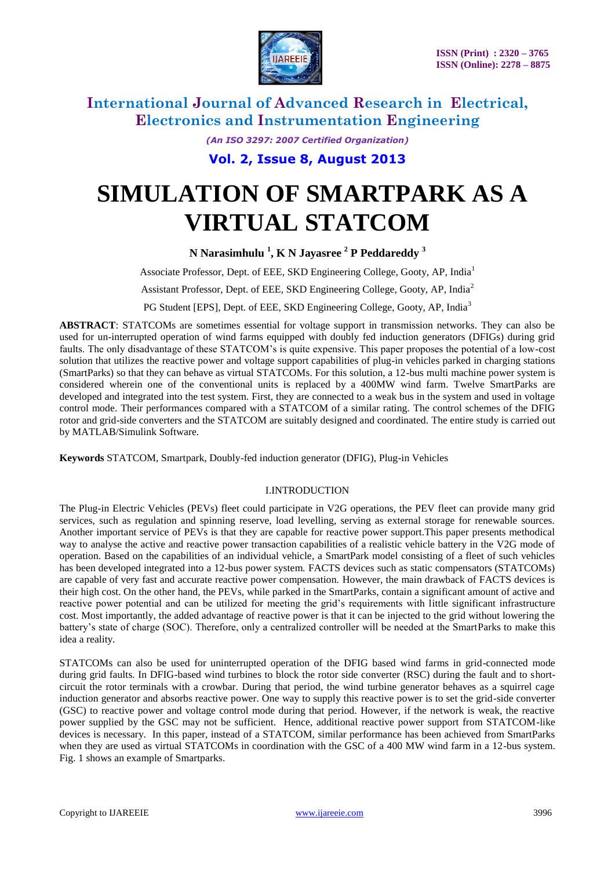

*(An ISO 3297: 2007 Certified Organization)*

**Vol. 2, Issue 8, August 2013**

# **SIMULATION OF SMARTPARK AS A VIRTUAL STATCOM**

**N Narasimhulu <sup>1</sup> , K N Jayasree <sup>2</sup> P Peddareddy <sup>3</sup>**

Associate Professor, Dept. of EEE, SKD Engineering College, Gooty, AP, India<sup>1</sup>

Assistant Professor, Dept. of EEE, SKD Engineering College, Gooty, AP, India<sup>2</sup>

PG Student [EPS], Dept. of EEE, SKD Engineering College, Gooty, AP, India<sup>3</sup>

**ABSTRACT**: STATCOMs are sometimes essential for voltage support in transmission networks. They can also be used for un-interrupted operation of wind farms equipped with doubly fed induction generators (DFIGs) during grid faults. The only disadvantage of these STATCOM's is quite expensive. This paper proposes the potential of a low-cost solution that utilizes the reactive power and voltage support capabilities of plug-in vehicles parked in charging stations (SmartParks) so that they can behave as virtual STATCOMs. For this solution, a 12-bus multi machine power system is considered wherein one of the conventional units is replaced by a 400MW wind farm. Twelve SmartParks are developed and integrated into the test system. First, they are connected to a weak bus in the system and used in voltage control mode. Their performances compared with a STATCOM of a similar rating. The control schemes of the DFIG rotor and grid-side converters and the STATCOM are suitably designed and coordinated. The entire study is carried out by MATLAB/Simulink Software.

**Keywords** STATCOM, Smartpark, Doubly-fed induction generator (DFIG), Plug-in Vehicles

### I.INTRODUCTION

The Plug-in Electric Vehicles (PEVs) fleet could participate in V2G operations, the PEV fleet can provide many grid services, such as regulation and spinning reserve, load levelling, serving as external storage for renewable sources. Another important service of PEVs is that they are capable for reactive power support.This paper presents methodical way to analyse the active and reactive power transaction capabilities of a realistic vehicle battery in the V2G mode of operation. Based on the capabilities of an individual vehicle, a SmartPark model consisting of a fleet of such vehicles has been developed integrated into a 12-bus power system. FACTS devices such as static compensators (STATCOMs) are capable of very fast and accurate reactive power compensation. However, the main drawback of FACTS devices is their high cost. On the other hand, the PEVs, while parked in the SmartParks, contain a significant amount of active and reactive power potential and can be utilized for meeting the grid's requirements with little significant infrastructure cost. Most importantly, the added advantage of reactive power is that it can be injected to the grid without lowering the battery's state of charge (SOC). Therefore, only a centralized controller will be needed at the SmartParks to make this idea a reality.

STATCOMs can also be used for uninterrupted operation of the DFIG based wind farms in grid-connected mode during grid faults. In DFIG-based wind turbines to block the rotor side converter (RSC) during the fault and to shortcircuit the rotor terminals with a crowbar. During that period, the wind turbine generator behaves as a squirrel cage induction generator and absorbs reactive power. One way to supply this reactive power is to set the grid-side converter (GSC) to reactive power and voltage control mode during that period. However, if the network is weak, the reactive power supplied by the GSC may not be sufficient. Hence, additional reactive power support from STATCOM-like devices is necessary. In this paper, instead of a STATCOM, similar performance has been achieved from SmartParks when they are used as virtual STATCOMs in coordination with the GSC of a 400 MW wind farm in a 12-bus system. Fig. 1 shows an example of Smartparks.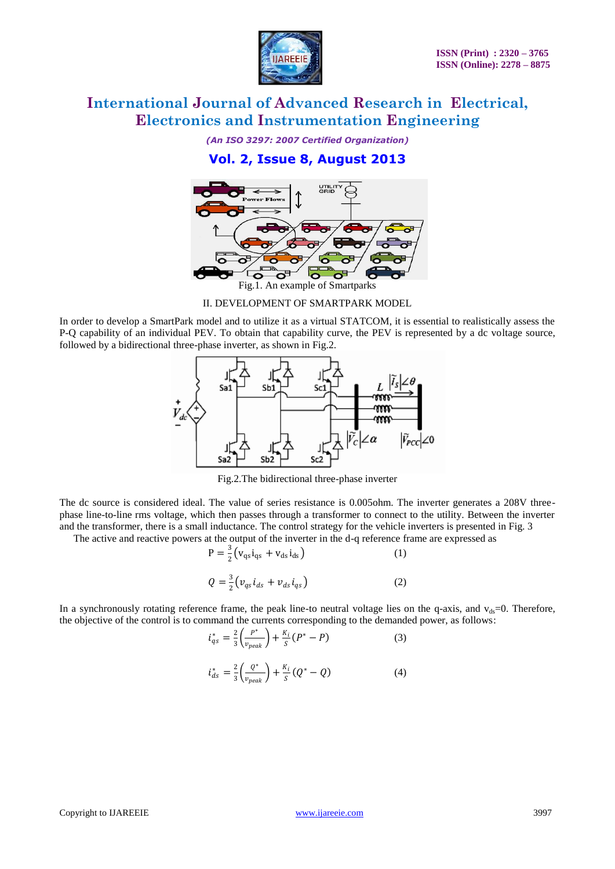

*(An ISO 3297: 2007 Certified Organization)*

### **Vol. 2, Issue 8, August 2013**



II. DEVELOPMENT OF SMARTPARK MODEL

In order to develop a SmartPark model and to utilize it as a virtual STATCOM, it is essential to realistically assess the P-Q capability of an individual PEV. To obtain that capability curve, the PEV is represented by a dc voltage source, followed by a bidirectional three-phase inverter, as shown in Fig.2.



Fig.2.The bidirectional three-phase inverter

The dc source is considered ideal. The value of series resistance is 0.005ohm. The inverter generates a 208V threephase line-to-line rms voltage, which then passes through a transformer to connect to the utility. Between the inverter and the transformer, there is a small inductance. The control strategy for the vehicle inverters is presented in Fig. 3

The active and reactive powers at the output of the inverter in the d-q reference frame are expressed as

$$
P = \frac{3}{2} (v_{qs} i_{qs} + v_{ds} i_{ds})
$$
 (1)  

$$
Q = \frac{3}{2} (v_{qs} i_{ds} + v_{ds} i_{qs})
$$
 (2)

In a synchronously rotating reference frame, the peak line-to neutral voltage lies on the q-axis, and  $v_{ds}=0$ . Therefore, the objective of the control is to command the currents corresponding to the demanded power, as follows:

$$
i_{qs}^{*} = \frac{2}{3} \left( \frac{P^{*}}{v_{peak}} \right) + \frac{K_{i}}{S} \left( P^{*} - P \right)
$$
 (3)

$$
i_{ds}^{*} = \frac{2}{3} \left( \frac{Q^{*}}{v_{peak}} \right) + \frac{K_{i}}{S} (Q^{*} - Q)
$$
 (4)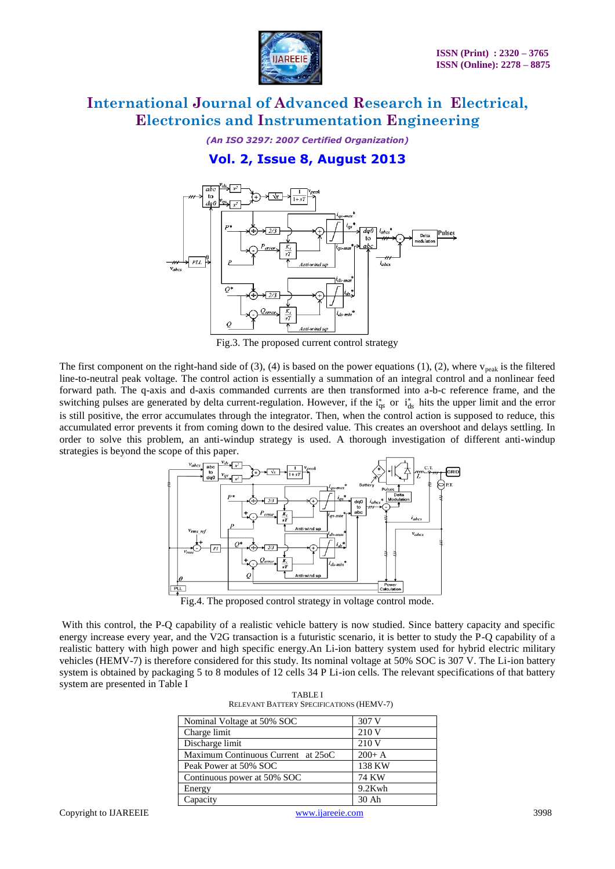

*(An ISO 3297: 2007 Certified Organization)*

### **Vol. 2, Issue 8, August 2013**



Fig.3. The proposed current control strategy

The first component on the right-hand side of (3), (4) is based on the power equations (1), (2), where  $v_{peak}$  is the filtered line-to-neutral peak voltage. The control action is essentially a summation of an integral control and a nonlinear feed forward path. The q-axis and d-axis commanded currents are then transformed into a-b-c reference frame, and the switching pulses are generated by delta current-regulation. However, if the  $i_{qs}^*$  or  $i_{ds}^*$  hits the upper limit and the error is still positive, the error accumulates through the integrator. Then, when the control action is supposed to reduce, this accumulated error prevents it from coming down to the desired value. This creates an overshoot and delays settling. In order to solve this problem, an anti-windup strategy is used. A thorough investigation of different anti-windup strategies is beyond the scope of this paper.



Fig.4. The proposed control strategy in voltage control mode.

With this control, the P-Q capability of a realistic vehicle battery is now studied. Since battery capacity and specific energy increase every year, and the V2G transaction is a futuristic scenario, it is better to study the P-Q capability of a realistic battery with high power and high specific energy.An Li-ion battery system used for hybrid electric military vehicles (HEMV-7) is therefore considered for this study. Its nominal voltage at 50% SOC is 307 V. The Li-ion battery system is obtained by packaging 5 to 8 modules of 12 cells 34 P Li-ion cells. The relevant specifications of that battery system are presented in Table I

| <b>TABLE I</b>                                  |
|-------------------------------------------------|
| <b>RELEVANT BATTERY SPECIFICATIONS (HEMV-7)</b> |

| Nominal Voltage at 50% SOC         | 307 V        |
|------------------------------------|--------------|
| Charge limit                       | 210 V        |
| Discharge limit                    | 210 V        |
| Maximum Continuous Current at 25oC | $200+A$      |
| Peak Power at 50% SOC              | 138 KW       |
| Continuous power at 50% SOC        | <b>74 KW</b> |
| Energy                             | 9.2Kwh       |
| Capacity                           | $30$ Ah      |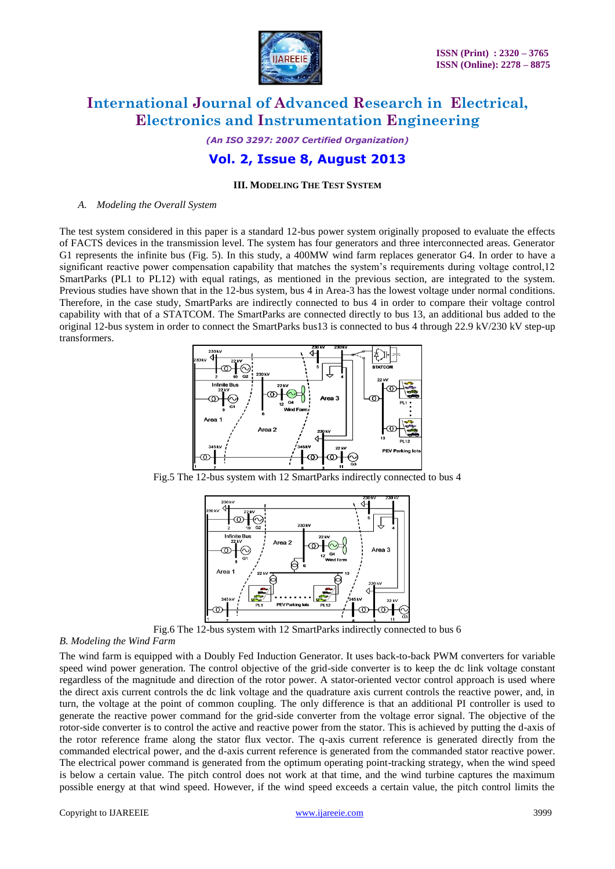

*(An ISO 3297: 2007 Certified Organization)*

### **Vol. 2, Issue 8, August 2013**

#### **III. MODELING THE TEST SYSTEM**

*A. Modeling the Overall System*

The test system considered in this paper is a standard 12-bus power system originally proposed to evaluate the effects of FACTS devices in the transmission level. The system has four generators and three interconnected areas. Generator G1 represents the infinite bus (Fig. 5). In this study, a 400MW wind farm replaces generator G4. In order to have a significant reactive power compensation capability that matches the system's requirements during voltage control,12 SmartParks (PL1 to PL12) with equal ratings, as mentioned in the previous section, are integrated to the system. Previous studies have shown that in the 12-bus system, bus 4 in Area-3 has the lowest voltage under normal conditions. Therefore, in the case study, SmartParks are indirectly connected to bus 4 in order to compare their voltage control capability with that of a STATCOM. The SmartParks are connected directly to bus 13, an additional bus added to the original 12-bus system in order to connect the SmartParks bus13 is connected to bus 4 through 22.9 kV/230 kV step-up transformers.



Fig.5 The 12-bus system with 12 SmartParks indirectly connected to bus 4



Fig.6 The 12-bus system with 12 SmartParks indirectly connected to bus 6

#### *B. Modeling the Wind Farm*

The wind farm is equipped with a Doubly Fed Induction Generator. It uses back-to-back PWM converters for variable speed wind power generation. The control objective of the grid-side converter is to keep the dc link voltage constant regardless of the magnitude and direction of the rotor power. A stator-oriented vector control approach is used where the direct axis current controls the dc link voltage and the quadrature axis current controls the reactive power, and, in turn, the voltage at the point of common coupling. The only difference is that an additional PI controller is used to generate the reactive power command for the grid-side converter from the voltage error signal. The objective of the rotor-side converter is to control the active and reactive power from the stator. This is achieved by putting the d-axis of the rotor reference frame along the stator flux vector. The q-axis current reference is generated directly from the commanded electrical power, and the d-axis current reference is generated from the commanded stator reactive power. The electrical power command is generated from the optimum operating point-tracking strategy, when the wind speed is below a certain value. The pitch control does not work at that time, and the wind turbine captures the maximum possible energy at that wind speed. However, if the wind speed exceeds a certain value, the pitch control limits the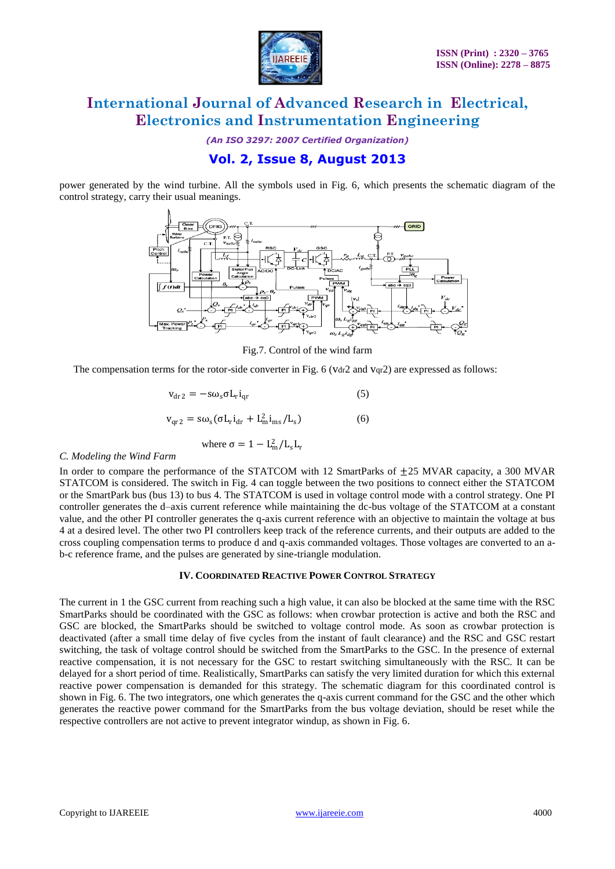

*(An ISO 3297: 2007 Certified Organization)*

### **Vol. 2, Issue 8, August 2013**

power generated by the wind turbine. All the symbols used in Fig. 6, which presents the schematic diagram of the control strategy, carry their usual meanings.



Fig.7. Control of the wind farm

The compensation terms for the rotor-side converter in Fig. 6 (vdr2 and  $vqr2$ ) are expressed as follows:

$$
v_{dr2} = -s\omega_s \sigma L_r i_{qr}
$$
 (5)

$$
\mathbf{v}_{\text{qr2}} = \mathbf{s}\omega_{\text{s}}(\sigma \mathbf{L}_{\text{r}} \mathbf{i}_{\text{dr}} + \mathbf{L}_{\text{m}}^2 \mathbf{i}_{\text{ms}} / \mathbf{L}_{\text{s}}) \tag{6}
$$

where 
$$
\sigma = 1 - L_m^2/L_s L_r
$$

#### *C. Modeling the Wind Farm*

In order to compare the performance of the STATCOM with 12 SmartParks of  $+25$  MVAR capacity, a 300 MVAR STATCOM is considered. The switch in Fig. 4 can toggle between the two positions to connect either the STATCOM or the SmartPark bus (bus 13) to bus 4. The STATCOM is used in voltage control mode with a control strategy. One PI controller generates the d–axis current reference while maintaining the dc-bus voltage of the STATCOM at a constant value, and the other PI controller generates the q-axis current reference with an objective to maintain the voltage at bus 4 at a desired level. The other two PI controllers keep track of the reference currents, and their outputs are added to the cross coupling compensation terms to produce d and q-axis commanded voltages. Those voltages are converted to an ab-c reference frame, and the pulses are generated by sine-triangle modulation.

### **IV. COORDINATED REACTIVE POWER CONTROL STRATEGY**

The current in 1 the GSC current from reaching such a high value, it can also be blocked at the same time with the RSC SmartParks should be coordinated with the GSC as follows: when crowbar protection is active and both the RSC and GSC are blocked, the SmartParks should be switched to voltage control mode. As soon as crowbar protection is deactivated (after a small time delay of five cycles from the instant of fault clearance) and the RSC and GSC restart switching, the task of voltage control should be switched from the SmartParks to the GSC. In the presence of external reactive compensation, it is not necessary for the GSC to restart switching simultaneously with the RSC. It can be delayed for a short period of time. Realistically, SmartParks can satisfy the very limited duration for which this external reactive power compensation is demanded for this strategy. The schematic diagram for this coordinated control is shown in Fig. 6. The two integrators, one which generates the q-axis current command for the GSC and the other which generates the reactive power command for the SmartParks from the bus voltage deviation, should be reset while the respective controllers are not active to prevent integrator windup, as shown in Fig. 6.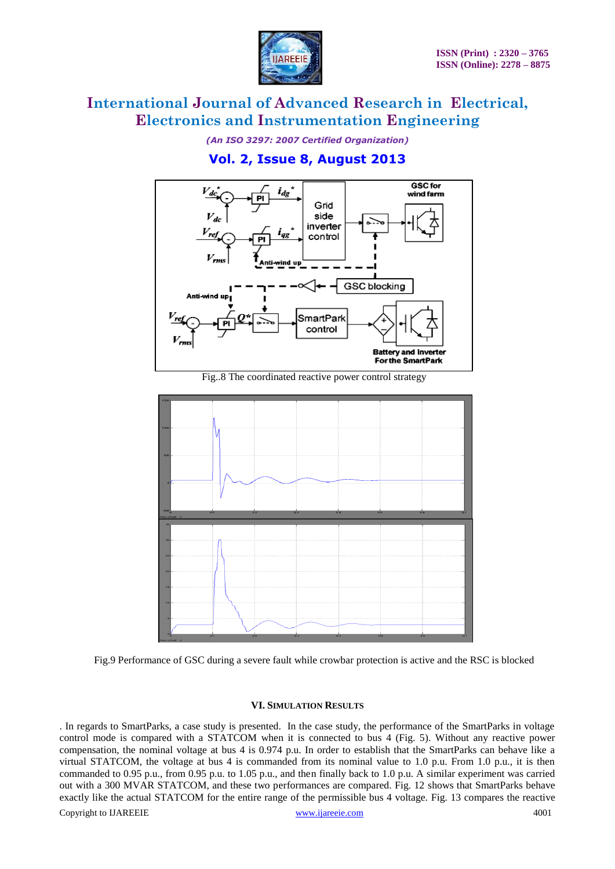

*(An ISO 3297: 2007 Certified Organization)*

### **Vol. 2, Issue 8, August 2013**



Fig..8 The coordinated reactive power control strategy



Fig.9 Performance of GSC during a severe fault while crowbar protection is active and the RSC is blocked

### **VI. SIMULATION RESULTS**

Copyright to IJAREEIE [www.ijareeie.com](http://www.ijareeie.com/) 4001 . In regards to SmartParks, a case study is presented. In the case study, the performance of the SmartParks in voltage control mode is compared with a STATCOM when it is connected to bus 4 (Fig. 5). Without any reactive power compensation, the nominal voltage at bus 4 is 0.974 p.u. In order to establish that the SmartParks can behave like a virtual STATCOM, the voltage at bus 4 is commanded from its nominal value to 1.0 p.u. From 1.0 p.u., it is then commanded to 0.95 p.u., from 0.95 p.u. to 1.05 p.u., and then finally back to 1.0 p.u. A similar experiment was carried out with a 300 MVAR STATCOM, and these two performances are compared. Fig. 12 shows that SmartParks behave exactly like the actual STATCOM for the entire range of the permissible bus 4 voltage. Fig. 13 compares the reactive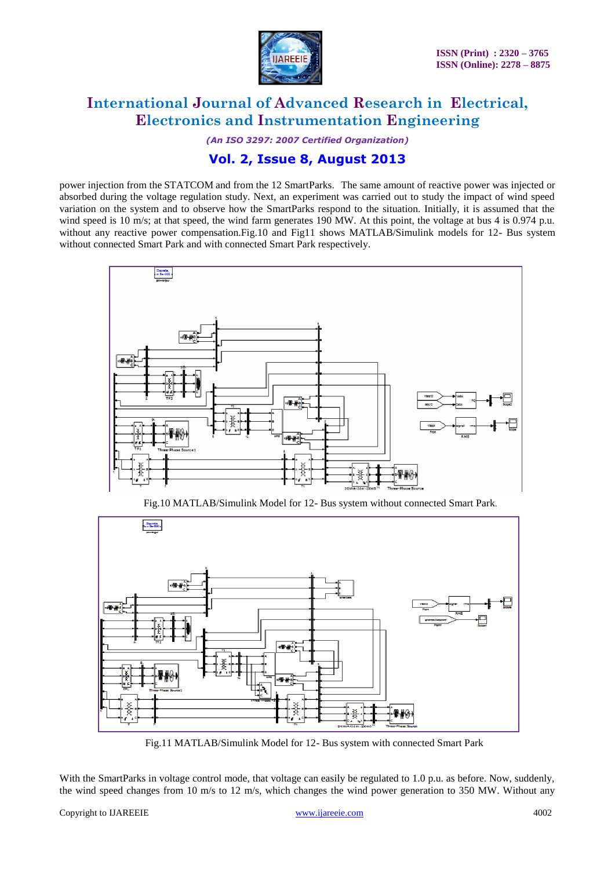

*(An ISO 3297: 2007 Certified Organization)*

### **Vol. 2, Issue 8, August 2013**

power injection from the STATCOM and from the 12 SmartParks. The same amount of reactive power was injected or absorbed during the voltage regulation study. Next, an experiment was carried out to study the impact of wind speed variation on the system and to observe how the SmartParks respond to the situation. Initially, it is assumed that the wind speed is 10 m/s; at that speed, the wind farm generates 190 MW. At this point, the voltage at bus 4 is 0.974 p.u. without any reactive power compensation.Fig.10 and Fig11 shows MATLAB/Simulink models for 12- Bus system without connected Smart Park and with connected Smart Park respectively.



Fig.10 MATLAB/Simulink Model for 12- Bus system without connected Smart Park.



Fig.11 MATLAB/Simulink Model for 12- Bus system with connected Smart Park

With the SmartParks in voltage control mode, that voltage can easily be regulated to 1.0 p.u. as before. Now, suddenly, the wind speed changes from 10 m/s to 12 m/s, which changes the wind power generation to 350 MW. Without any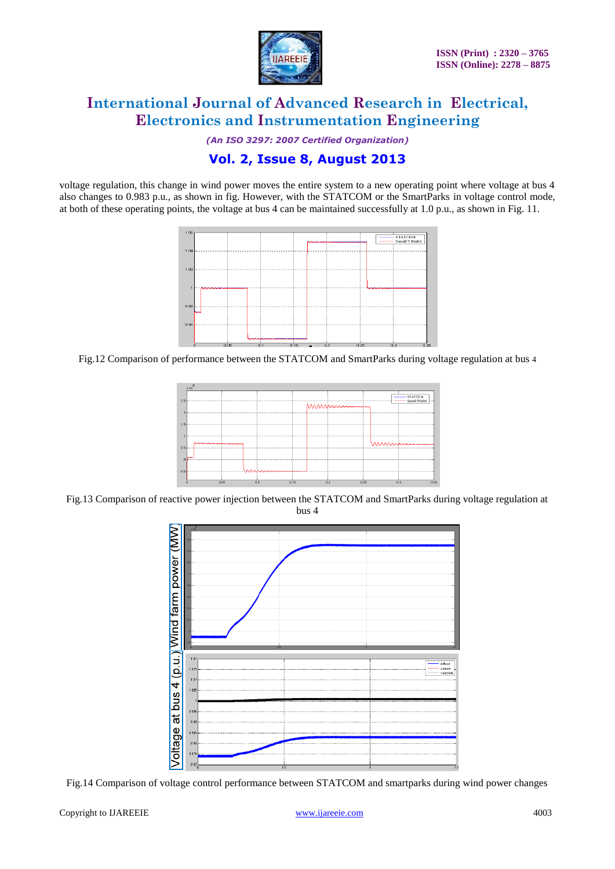

*(An ISO 3297: 2007 Certified Organization)*

### **Vol. 2, Issue 8, August 2013**

voltage regulation, this change in wind power moves the entire system to a new operating point where voltage at bus 4 also changes to 0.983 p.u., as shown in fig. However, with the STATCOM or the SmartParks in voltage control mode, at both of these operating points, the voltage at bus 4 can be maintained successfully at 1.0 p.u., as shown in Fig. 11.



Fig.12 Comparison of performance between the STATCOM and SmartParks during voltage regulation at bus 4



Fig.13 Comparison of reactive power injection between the STATCOM and SmartParks during voltage regulation at bus 4



Fig.14 Comparison of voltage control performance between STATCOM and smartparks during wind power changes